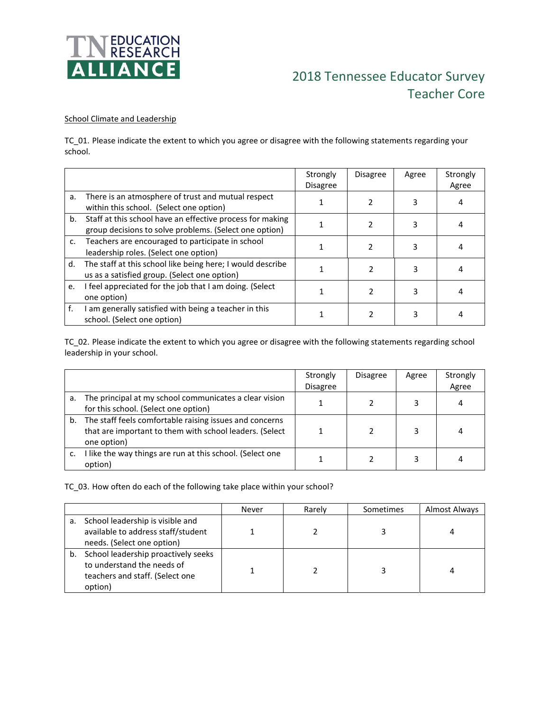

# 2018 Tennessee Educator Survey Teacher Core

#### School Climate and Leadership

TC\_01. Please indicate the extent to which you agree or disagree with the following statements regarding your school.

|    |                                                                                                                     | Strongly<br><b>Disagree</b> | <b>Disagree</b> | Agree | Strongly<br>Agree |
|----|---------------------------------------------------------------------------------------------------------------------|-----------------------------|-----------------|-------|-------------------|
| a. | There is an atmosphere of trust and mutual respect<br>within this school. (Select one option)                       |                             |                 |       |                   |
| b. | Staff at this school have an effective process for making<br>group decisions to solve problems. (Select one option) |                             |                 |       |                   |
| c. | Teachers are encouraged to participate in school<br>leadership roles. (Select one option)                           |                             |                 |       |                   |
| d. | The staff at this school like being here; I would describe<br>us as a satisfied group. (Select one option)          |                             |                 |       |                   |
| e. | I feel appreciated for the job that I am doing. (Select<br>one option)                                              |                             | 2               |       |                   |
| f. | I am generally satisfied with being a teacher in this<br>school. (Select one option)                                |                             |                 |       |                   |

TC\_02. Please indicate the extent to which you agree or disagree with the following statements regarding school leadership in your school.

|    |                                                                                                                                      | Strongly<br><b>Disagree</b> | <b>Disagree</b> | Agree | Strongly<br>Agree |
|----|--------------------------------------------------------------------------------------------------------------------------------------|-----------------------------|-----------------|-------|-------------------|
| a. | The principal at my school communicates a clear vision<br>for this school. (Select one option)                                       |                             |                 |       | 4                 |
|    | b. The staff feels comfortable raising issues and concerns<br>that are important to them with school leaders. (Select<br>one option) |                             |                 | 3     | 4                 |
|    | I like the way things are run at this school. (Select one<br>option)                                                                 |                             |                 |       |                   |

TC\_03. How often do each of the following take place within your school?

|    |                                                                                                                 | Never | Rarely | Sometimes | Almost Always |
|----|-----------------------------------------------------------------------------------------------------------------|-------|--------|-----------|---------------|
| а. | School leadership is visible and<br>available to address staff/student<br>needs. (Select one option)            |       |        |           |               |
| b. | School leadership proactively seeks<br>to understand the needs of<br>teachers and staff. (Select one<br>option) |       |        |           |               |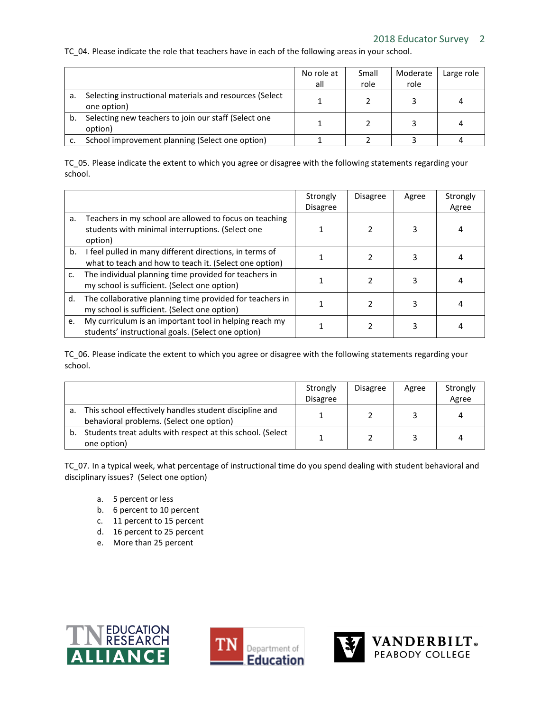## TC 04. Please indicate the role that teachers have in each of the following areas in your school.

|    |                                                                        | No role at<br>all | Small<br>role | Moderate<br>role | Large role |
|----|------------------------------------------------------------------------|-------------------|---------------|------------------|------------|
| а. | Selecting instructional materials and resources (Select<br>one option) |                   |               |                  |            |
| b. | Selecting new teachers to join our staff (Select one<br>option)        |                   |               |                  |            |
|    | School improvement planning (Select one option)                        |                   |               |                  |            |

TC\_05. Please indicate the extent to which you agree or disagree with the following statements regarding your school.

|    |                                                                                                                       | Strongly<br><b>Disagree</b> | <b>Disagree</b> | Agree | Strongly<br>Agree |
|----|-----------------------------------------------------------------------------------------------------------------------|-----------------------------|-----------------|-------|-------------------|
| a. | Teachers in my school are allowed to focus on teaching<br>students with minimal interruptions. (Select one<br>option) |                             |                 | 3     | 4                 |
| b. | I feel pulled in many different directions, in terms of<br>what to teach and how to teach it. (Select one option)     |                             | 2               |       | 4                 |
| c. | The individual planning time provided for teachers in<br>my school is sufficient. (Select one option)                 |                             | 2               |       |                   |
| d. | The collaborative planning time provided for teachers in<br>my school is sufficient. (Select one option)              |                             | 2               | 3     |                   |
| e. | My curriculum is an important tool in helping reach my<br>students' instructional goals. (Select one option)          |                             |                 |       |                   |

TC\_06. Please indicate the extent to which you agree or disagree with the following statements regarding your school.

|    |                                                                                                    | Strongly<br><b>Disagree</b> | <b>Disagree</b> | Agree | Strongly<br>Agree |
|----|----------------------------------------------------------------------------------------------------|-----------------------------|-----------------|-------|-------------------|
| a. | This school effectively handles student discipline and<br>behavioral problems. (Select one option) |                             |                 |       | 4                 |
| b. | Students treat adults with respect at this school. (Select<br>one option)                          |                             |                 |       | 4                 |

TC 07. In a typical week, what percentage of instructional time do you spend dealing with student behavioral and disciplinary issues? (Select one option)

- a. 5 percent or less
- b. 6 percent to 10 percent
- c. 11 percent to 15 percent
- d. 16 percent to 25 percent
- e. More than 25 percent





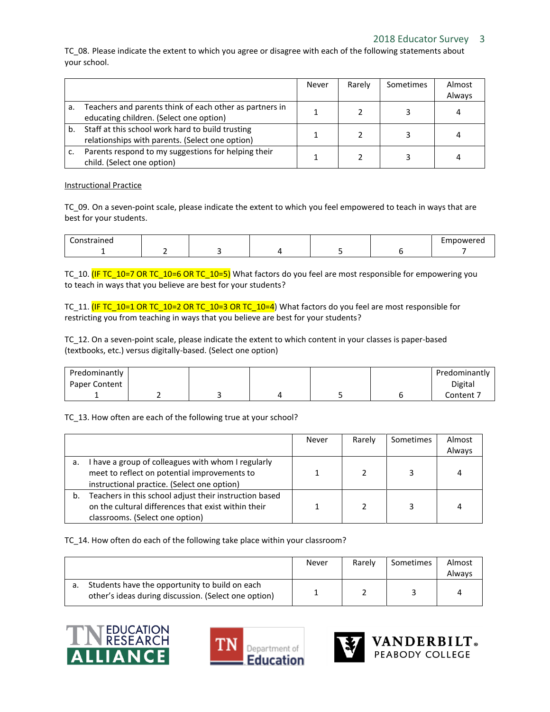# 2018 Educator Survey 3

TC\_08. Please indicate the extent to which you agree or disagree with each of the following statements about your school.

|    |                                                                                                     | Never | Rarely | Sometimes | Almost |
|----|-----------------------------------------------------------------------------------------------------|-------|--------|-----------|--------|
|    |                                                                                                     |       |        |           | Always |
| a. | Teachers and parents think of each other as partners in<br>educating children. (Select one option)  |       |        |           | 4      |
| b. | Staff at this school work hard to build trusting<br>relationships with parents. (Select one option) |       |        |           |        |
|    | Parents respond to my suggestions for helping their<br>child. (Select one option)                   |       |        |           |        |

#### Instructional Practice

TC\_09. On a seven-point scale, please indicate the extent to which you feel empowered to teach in ways that are best for your students.

| Constrained<br>ັບ |  |  | mpowerea |
|-------------------|--|--|----------|
|                   |  |  |          |

TC\_10. (IF TC\_10=7 OR TC\_10=6 OR TC\_10=5) What factors do you feel are most responsible for empowering you to teach in ways that you believe are best for your students?

TC\_11. (IF TC\_10=1 OR TC\_10=2 OR TC\_10=3 OR TC\_10=4) What factors do you feel are most responsible for restricting you from teaching in ways that you believe are best for your students?

TC\_12. On a seven-point scale, please indicate the extent to which content in your classes is paper-based (textbooks, etc.) versus digitally-based. (Select one option)

| Predominantly |  |  | Predominantly |
|---------------|--|--|---------------|
| Paper Content |  |  | Digital       |
|               |  |  | Content 7     |

TC 13. How often are each of the following true at your school?

|    |                                                                                                                                                  | Never | Rarely | Sometimes | Almost<br>Always |
|----|--------------------------------------------------------------------------------------------------------------------------------------------------|-------|--------|-----------|------------------|
| а. | have a group of colleagues with whom I regularly<br>meet to reflect on potential improvements to<br>instructional practice. (Select one option)  |       |        | ર         | 4                |
| b. | Teachers in this school adjust their instruction based<br>on the cultural differences that exist within their<br>classrooms. (Select one option) |       |        |           | 4                |

#### TC\_14. How often do each of the following take place within your classroom?

|                                                                                                        | Never | Rarely | Sometimes | Almost<br>Always |
|--------------------------------------------------------------------------------------------------------|-------|--------|-----------|------------------|
| Students have the opportunity to build on each<br>other's ideas during discussion. (Select one option) |       |        |           |                  |







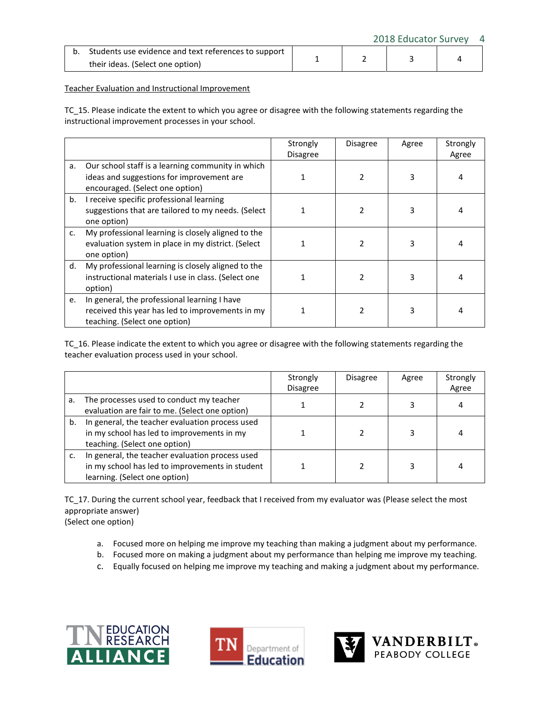2018 Educator Survey 4

| b. Students use evidence and text references to support |  |  |
|---------------------------------------------------------|--|--|
| their ideas. (Select one option)                        |  |  |

#### Teacher Evaluation and Instructional Improvement

TC\_15. Please indicate the extent to which you agree or disagree with the following statements regarding the instructional improvement processes in your school.

|             |                                                                                                                                   | Strongly<br><b>Disagree</b> | <b>Disagree</b> | Agree | Strongly<br>Agree |
|-------------|-----------------------------------------------------------------------------------------------------------------------------------|-----------------------------|-----------------|-------|-------------------|
| a.          | Our school staff is a learning community in which<br>ideas and suggestions for improvement are<br>encouraged. (Select one option) |                             | $\mathcal{P}$   | 3     | 4                 |
| b.          | I receive specific professional learning<br>suggestions that are tailored to my needs. (Select<br>one option)                     |                             |                 | 3     |                   |
| $C_{\star}$ | My professional learning is closely aligned to the<br>evaluation system in place in my district. (Select<br>one option)           |                             |                 | 3     |                   |
| d.          | My professional learning is closely aligned to the<br>instructional materials I use in class. (Select one<br>option)              |                             |                 | 3     |                   |
| e.          | In general, the professional learning I have<br>received this year has led to improvements in my<br>teaching. (Select one option) |                             |                 |       |                   |

TC\_16. Please indicate the extent to which you agree or disagree with the following statements regarding the teacher evaluation process used in your school.

|    |                                                                                                                                     | Strongly<br><b>Disagree</b> | <b>Disagree</b> | Agree | Strongly<br>Agree |
|----|-------------------------------------------------------------------------------------------------------------------------------------|-----------------------------|-----------------|-------|-------------------|
| а. | The processes used to conduct my teacher<br>evaluation are fair to me. (Select one option)                                          |                             |                 |       |                   |
| b. | In general, the teacher evaluation process used<br>in my school has led to improvements in my<br>teaching. (Select one option)      |                             |                 |       |                   |
|    | In general, the teacher evaluation process used<br>in my school has led to improvements in student<br>learning. (Select one option) |                             |                 |       |                   |

TC\_17. During the current school year, feedback that I received from my evaluator was (Please select the most appropriate answer) (Select one option)

- a. Focused more on helping me improve my teaching than making a judgment about my performance.
- b. Focused more on making a judgment about my performance than helping me improve my teaching.
- c. Equally focused on helping me improve my teaching and making a judgment about my performance.





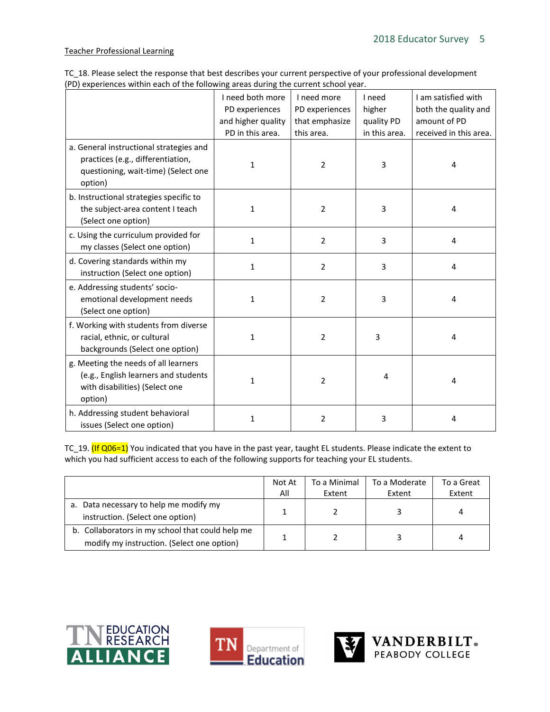# Teacher Professional Learning

| TC 18. Please select the response that best describes your current perspective of your professional development |  |
|-----------------------------------------------------------------------------------------------------------------|--|
| (PD) experiences within each of the following areas during the current school year.                             |  |

|                                                                                                                                | I need both more<br>PD experiences<br>and higher quality<br>PD in this area. | I need more<br>PD experiences<br>that emphasize<br>this area. | I need<br>higher<br>quality PD<br>in this area. | I am satisfied with<br>both the quality and<br>amount of PD<br>received in this area. |
|--------------------------------------------------------------------------------------------------------------------------------|------------------------------------------------------------------------------|---------------------------------------------------------------|-------------------------------------------------|---------------------------------------------------------------------------------------|
| a. General instructional strategies and<br>practices (e.g., differentiation,<br>questioning, wait-time) (Select one<br>option) | $\mathbf{1}$                                                                 | $\overline{2}$                                                | 3                                               | 4                                                                                     |
| b. Instructional strategies specific to<br>the subject-area content I teach<br>(Select one option)                             | $\mathbf{1}$                                                                 | $\overline{2}$                                                | 3                                               | 4                                                                                     |
| c. Using the curriculum provided for<br>my classes (Select one option)                                                         | $\mathbf{1}$                                                                 | $\overline{2}$                                                | 3                                               | 4                                                                                     |
| d. Covering standards within my<br>instruction (Select one option)                                                             | $\mathbf{1}$                                                                 | $\overline{2}$                                                | 3                                               | 4                                                                                     |
| e. Addressing students' socio-<br>emotional development needs<br>(Select one option)                                           | $\mathbf{1}$                                                                 | $\overline{2}$                                                | 3                                               | 4                                                                                     |
| f. Working with students from diverse<br>racial, ethnic, or cultural<br>backgrounds (Select one option)                        | $\mathbf{1}$                                                                 | $\overline{2}$                                                | 3                                               | 4                                                                                     |
| g. Meeting the needs of all learners<br>(e.g., English learners and students<br>with disabilities) (Select one<br>option)      | 1                                                                            | 2                                                             | 4                                               | 4                                                                                     |
| h. Addressing student behavioral<br>issues (Select one option)                                                                 | $\mathbf{1}$                                                                 | 2                                                             | 3                                               | 4                                                                                     |

TC\_19. (If Q06=1) You indicated that you have in the past year, taught EL students. Please indicate the extent to which you had sufficient access to each of the following supports for teaching your EL students.

|                                                  | Not At | To a Minimal | To a Moderate | To a Great |
|--------------------------------------------------|--------|--------------|---------------|------------|
|                                                  | All    | Extent       | Extent        | Extent     |
| a. Data necessary to help me modify my           |        |              |               |            |
| instruction. (Select one option)                 |        |              |               |            |
| b. Collaborators in my school that could help me |        |              |               |            |
| modify my instruction. (Select one option)       |        |              |               |            |